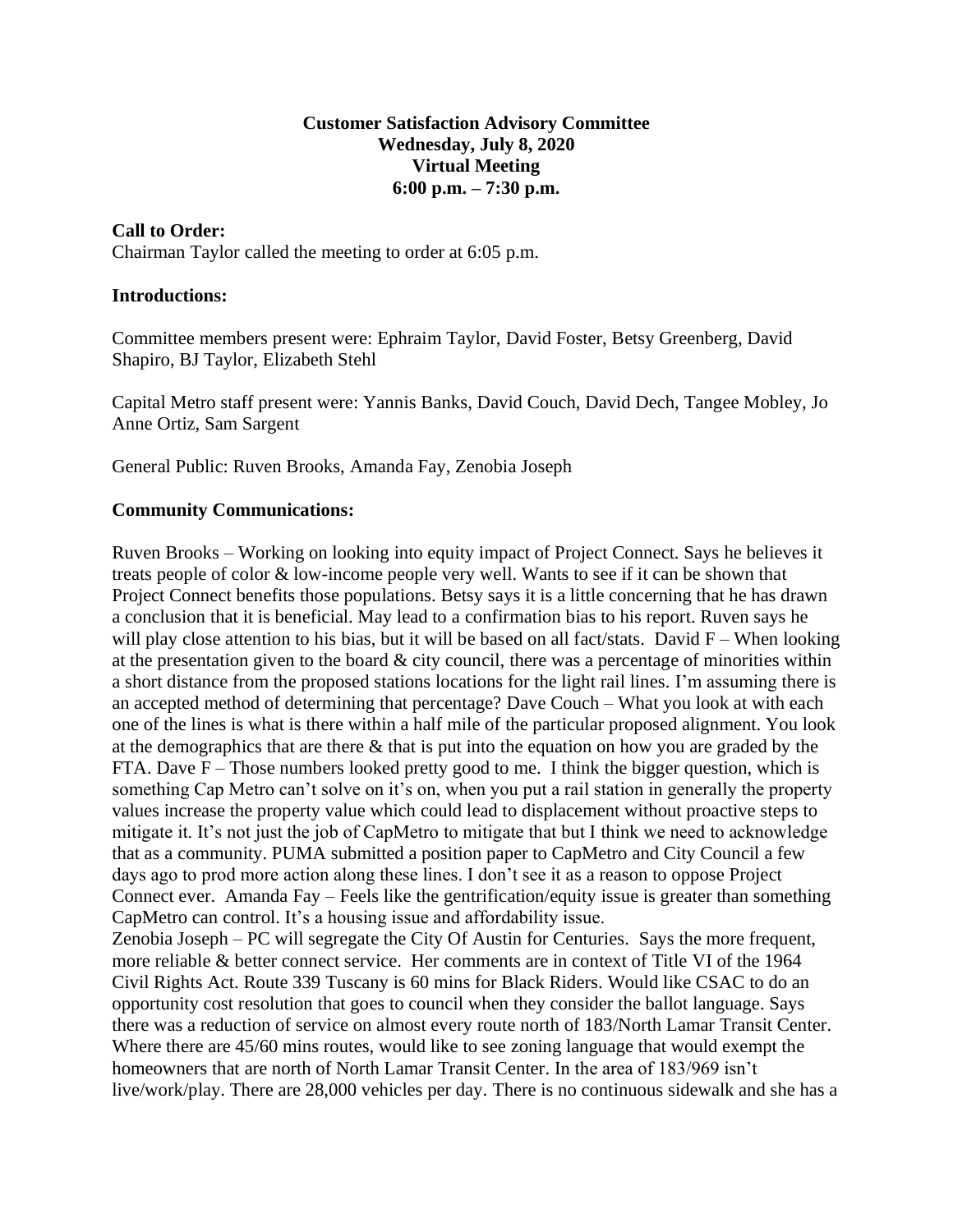## **Customer Satisfaction Advisory Committee Wednesday, July 8, 2020 Virtual Meeting 6:00 p.m. – 7:30 p.m.**

# **Call to Order:**

Chairman Taylor called the meeting to order at 6:05 p.m.

### **Introductions:**

Committee members present were: Ephraim Taylor, David Foster, Betsy Greenberg, David Shapiro, BJ Taylor, Elizabeth Stehl

Capital Metro staff present were: Yannis Banks, David Couch, David Dech, Tangee Mobley, Jo Anne Ortiz, Sam Sargent

General Public: Ruven Brooks, Amanda Fay, Zenobia Joseph

### **Community Communications:**

Ruven Brooks – Working on looking into equity impact of Project Connect. Says he believes it treats people of color & low-income people very well. Wants to see if it can be shown that Project Connect benefits those populations. Betsy says it is a little concerning that he has drawn a conclusion that it is beneficial. May lead to a confirmation bias to his report. Ruven says he will play close attention to his bias, but it will be based on all fact/stats. David  $F -$  When looking at the presentation given to the board  $\&$  city council, there was a percentage of minorities within a short distance from the proposed stations locations for the light rail lines. I'm assuming there is an accepted method of determining that percentage? Dave Couch – What you look at with each one of the lines is what is there within a half mile of the particular proposed alignment. You look at the demographics that are there & that is put into the equation on how you are graded by the FTA. Dave  $F -$ Those numbers looked pretty good to me. I think the bigger question, which is something Cap Metro can't solve on it's on, when you put a rail station in generally the property values increase the property value which could lead to displacement without proactive steps to mitigate it. It's not just the job of CapMetro to mitigate that but I think we need to acknowledge that as a community. PUMA submitted a position paper to CapMetro and City Council a few days ago to prod more action along these lines. I don't see it as a reason to oppose Project Connect ever. Amanda Fay – Feels like the gentrification/equity issue is greater than something CapMetro can control. It's a housing issue and affordability issue.

Zenobia Joseph – PC will segregate the City Of Austin for Centuries. Says the more frequent, more reliable & better connect service. Her comments are in context of Title VI of the 1964 Civil Rights Act. Route 339 Tuscany is 60 mins for Black Riders. Would like CSAC to do an opportunity cost resolution that goes to council when they consider the ballot language. Says there was a reduction of service on almost every route north of 183/North Lamar Transit Center. Where there are 45/60 mins routes, would like to see zoning language that would exempt the homeowners that are north of North Lamar Transit Center. In the area of 183/969 isn't live/work/play. There are 28,000 vehicles per day. There is no continuous sidewalk and she has a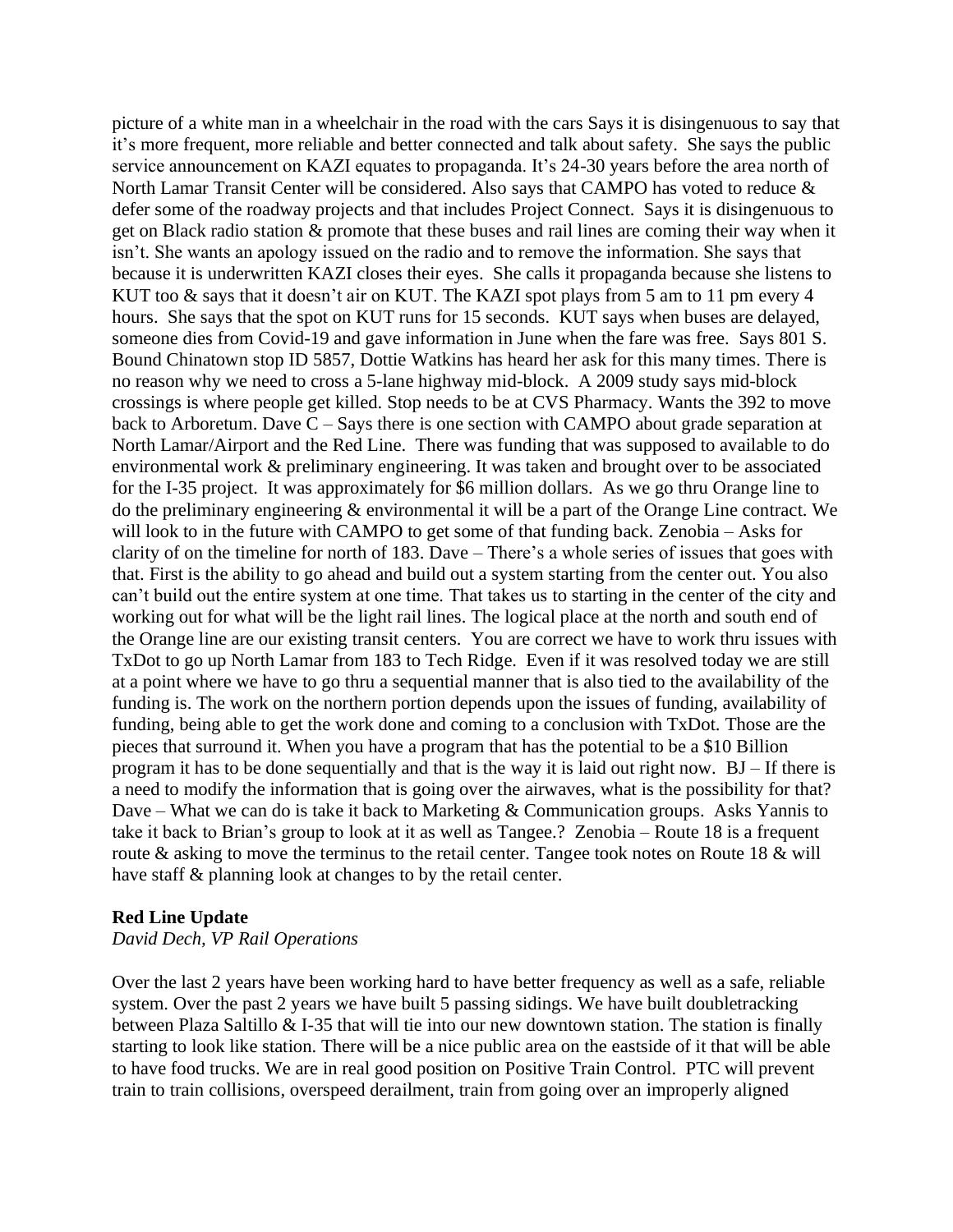picture of a white man in a wheelchair in the road with the cars Says it is disingenuous to say that it's more frequent, more reliable and better connected and talk about safety. She says the public service announcement on KAZI equates to propaganda. It's 24-30 years before the area north of North Lamar Transit Center will be considered. Also says that CAMPO has voted to reduce & defer some of the roadway projects and that includes Project Connect. Says it is disingenuous to get on Black radio station & promote that these buses and rail lines are coming their way when it isn't. She wants an apology issued on the radio and to remove the information. She says that because it is underwritten KAZI closes their eyes. She calls it propaganda because she listens to KUT too & says that it doesn't air on KUT. The KAZI spot plays from 5 am to 11 pm every 4 hours. She says that the spot on KUT runs for 15 seconds. KUT says when buses are delayed, someone dies from Covid-19 and gave information in June when the fare was free. Says 801 S. Bound Chinatown stop ID 5857, Dottie Watkins has heard her ask for this many times. There is no reason why we need to cross a 5-lane highway mid-block. A 2009 study says mid-block crossings is where people get killed. Stop needs to be at CVS Pharmacy. Wants the 392 to move back to Arboretum. Dave  $C -$ Says there is one section with CAMPO about grade separation at North Lamar/Airport and the Red Line. There was funding that was supposed to available to do environmental work & preliminary engineering. It was taken and brought over to be associated for the I-35 project. It was approximately for \$6 million dollars. As we go thru Orange line to do the preliminary engineering & environmental it will be a part of the Orange Line contract. We will look to in the future with CAMPO to get some of that funding back. Zenobia – Asks for clarity of on the timeline for north of 183. Dave – There's a whole series of issues that goes with that. First is the ability to go ahead and build out a system starting from the center out. You also can't build out the entire system at one time. That takes us to starting in the center of the city and working out for what will be the light rail lines. The logical place at the north and south end of the Orange line are our existing transit centers. You are correct we have to work thru issues with TxDot to go up North Lamar from 183 to Tech Ridge. Even if it was resolved today we are still at a point where we have to go thru a sequential manner that is also tied to the availability of the funding is. The work on the northern portion depends upon the issues of funding, availability of funding, being able to get the work done and coming to a conclusion with TxDot. Those are the pieces that surround it. When you have a program that has the potential to be a \$10 Billion program it has to be done sequentially and that is the way it is laid out right now. BJ – If there is a need to modify the information that is going over the airwaves, what is the possibility for that? Dave – What we can do is take it back to Marketing  $&$  Communication groups. Asks Yannis to take it back to Brian's group to look at it as well as Tangee.? Zenobia – Route 18 is a frequent route & asking to move the terminus to the retail center. Tangee took notes on Route 18 & will have staff & planning look at changes to by the retail center.

#### **Red Line Update**

#### *David Dech, VP Rail Operations*

Over the last 2 years have been working hard to have better frequency as well as a safe, reliable system. Over the past 2 years we have built 5 passing sidings. We have built doubletracking between Plaza Saltillo & I-35 that will tie into our new downtown station. The station is finally starting to look like station. There will be a nice public area on the eastside of it that will be able to have food trucks. We are in real good position on Positive Train Control. PTC will prevent train to train collisions, overspeed derailment, train from going over an improperly aligned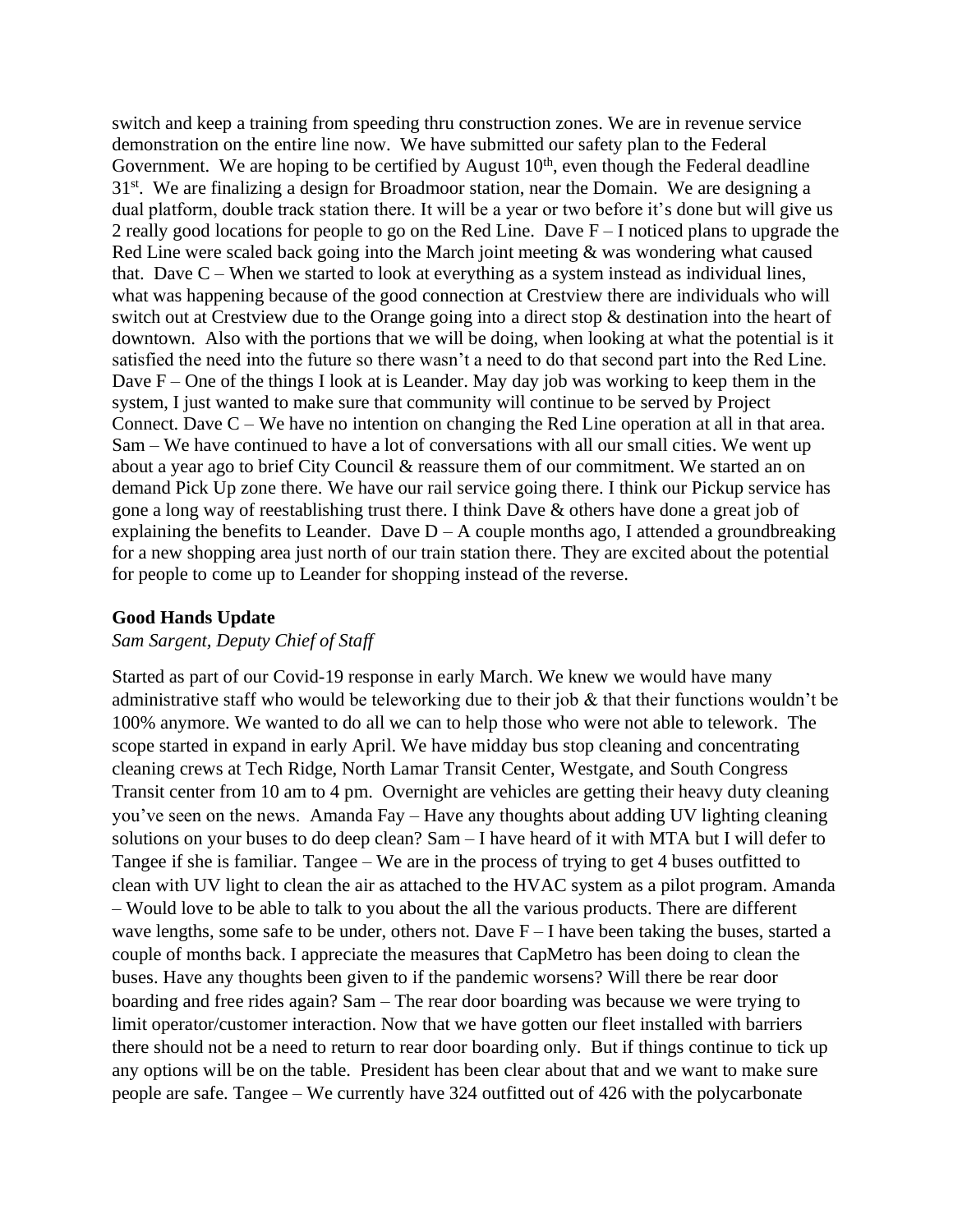switch and keep a training from speeding thru construction zones. We are in revenue service demonstration on the entire line now. We have submitted our safety plan to the Federal Government. We are hoping to be certified by August  $10<sup>th</sup>$ , even though the Federal deadline 31<sup>st</sup>. We are finalizing a design for Broadmoor station, near the Domain. We are designing a dual platform, double track station there. It will be a year or two before it's done but will give us 2 really good locations for people to go on the Red Line. Dave F – I noticed plans to upgrade the Red Line were scaled back going into the March joint meeting & was wondering what caused that. Dave  $C$  – When we started to look at everything as a system instead as individual lines, what was happening because of the good connection at Crestview there are individuals who will switch out at Crestview due to the Orange going into a direct stop & destination into the heart of downtown. Also with the portions that we will be doing, when looking at what the potential is it satisfied the need into the future so there wasn't a need to do that second part into the Red Line. Dave F – One of the things I look at is Leander. May day job was working to keep them in the system, I just wanted to make sure that community will continue to be served by Project Connect. Dave  $C - We$  have no intention on changing the Red Line operation at all in that area. Sam – We have continued to have a lot of conversations with all our small cities. We went up about a year ago to brief City Council & reassure them of our commitment. We started an on demand Pick Up zone there. We have our rail service going there. I think our Pickup service has gone a long way of reestablishing trust there. I think Dave & others have done a great job of explaining the benefits to Leander. Dave  $D - A$  couple months ago, I attended a groundbreaking for a new shopping area just north of our train station there. They are excited about the potential for people to come up to Leander for shopping instead of the reverse.

#### **Good Hands Update**

#### *Sam Sargent, Deputy Chief of Staff*

Started as part of our Covid-19 response in early March. We knew we would have many administrative staff who would be teleworking due to their job & that their functions wouldn't be 100% anymore. We wanted to do all we can to help those who were not able to telework. The scope started in expand in early April. We have midday bus stop cleaning and concentrating cleaning crews at Tech Ridge, North Lamar Transit Center, Westgate, and South Congress Transit center from 10 am to 4 pm. Overnight are vehicles are getting their heavy duty cleaning you've seen on the news. Amanda Fay – Have any thoughts about adding UV lighting cleaning solutions on your buses to do deep clean? Sam – I have heard of it with MTA but I will defer to Tangee if she is familiar. Tangee – We are in the process of trying to get 4 buses outfitted to clean with UV light to clean the air as attached to the HVAC system as a pilot program. Amanda – Would love to be able to talk to you about the all the various products. There are different wave lengths, some safe to be under, others not. Dave  $F - I$  have been taking the buses, started a couple of months back. I appreciate the measures that CapMetro has been doing to clean the buses. Have any thoughts been given to if the pandemic worsens? Will there be rear door boarding and free rides again? Sam – The rear door boarding was because we were trying to limit operator/customer interaction. Now that we have gotten our fleet installed with barriers there should not be a need to return to rear door boarding only. But if things continue to tick up any options will be on the table. President has been clear about that and we want to make sure people are safe. Tangee – We currently have 324 outfitted out of 426 with the polycarbonate